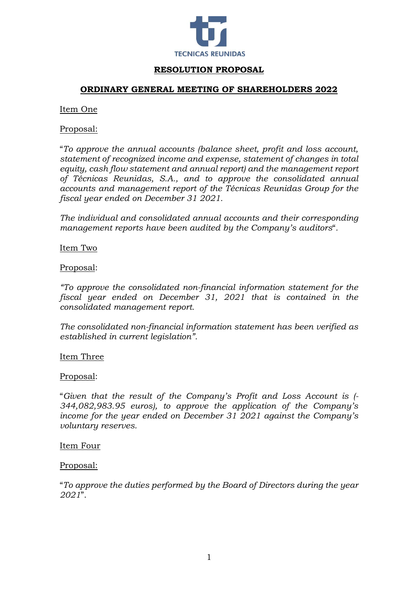

# **RESOLUTION PROPOSAL**

# **ORDINARY GENERAL MEETING OF SHAREHOLDERS 2022**

### Item One

# Proposal:

"*To approve the annual accounts (balance sheet, profit and loss account, statement of recognized income and expense, statement of changes in total equity, cash flow statement and annual report) and the management report of Técnicas Reunidas, S.A., and to approve the consolidated annual accounts and management report of the Técnicas Reunidas Group for the fiscal year ended on December 31 2021.*

*The individual and consolidated annual accounts and their corresponding management reports have been audited by the Company's auditors*"*.*

Item Two

### Proposal:

*"To approve the consolidated non-financial information statement for the fiscal year ended on December 31, 2021 that is contained in the consolidated management report.*

*The consolidated non-financial information statement has been verified as established in current legislation".*

### Item Three

### Proposal:

"*Given that the result of the Company's Profit and Loss Account is (- 344,082,983.95 euros), to approve the application of the Company's income for the year ended on December 31 2021 against the Company's voluntary reserves.*

### Item Four

### Proposal:

"*To approve the duties performed by the Board of Directors during the year 2021*".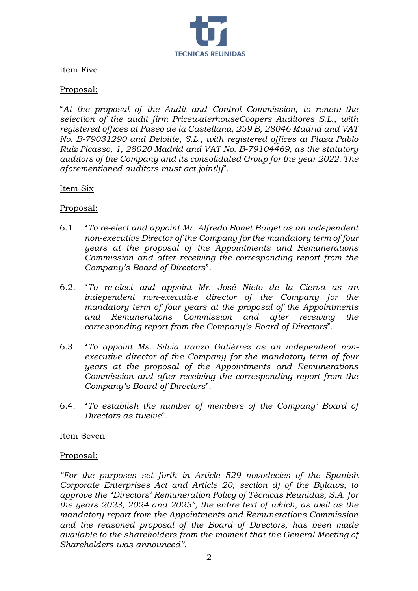

# Item Five

# Proposal:

"*At the proposal of the Audit and Control Commission, to renew the selection of the audit firm PricewaterhouseCoopers Auditores S.L., with registered offices at Paseo de la Castellana, 259 B, 28046 Madrid and VAT No. B-79031290 and Deloitte, S.L., with registered offices at Plaza Pablo Ruiz Picasso, 1, 28020 Madrid and VAT No. B-79104469, as the statutory auditors of the Company and its consolidated Group for the year 2022. The aforementioned auditors must act jointly*".

### Item Six

Proposal:

- 6.1. "*To re-elect and appoint Mr. Alfredo Bonet Baiget as an independent non-executive Director of the Company for the mandatory term of four years at the proposal of the Appointments and Remunerations Commission and after receiving the corresponding report from the Company's Board of Directors*".
- 6.2. "*To re-elect and appoint Mr. José Nieto de la Cierva as an independent non-executive director of the Company for the mandatory term of four years at the proposal of the Appointments and Remunerations Commission and after receiving the corresponding report from the Company's Board of Directors*".
- 6.3. "*To appoint Ms. Silvia Iranzo Gutiérrez as an independent nonexecutive director of the Company for the mandatory term of four years at the proposal of the Appointments and Remunerations Commission and after receiving the corresponding report from the Company's Board of Directors*".
- 6.4. "*To establish the number of members of the Company' Board of Directors as twelve*".

### Item Seven

### Proposal:

*"For the purposes set forth in Article 529 novodecies of the Spanish Corporate Enterprises Act and Article 20, section d) of the Bylaws, to approve the "Directors' Remuneration Policy of Técnicas Reunidas, S.A. for the years 2023, 2024 and 2025", the entire text of which, as well as the mandatory report from the Appointments and Remunerations Commission and the reasoned proposal of the Board of Directors, has been made available to the shareholders from the moment that the General Meeting of Shareholders was announced".*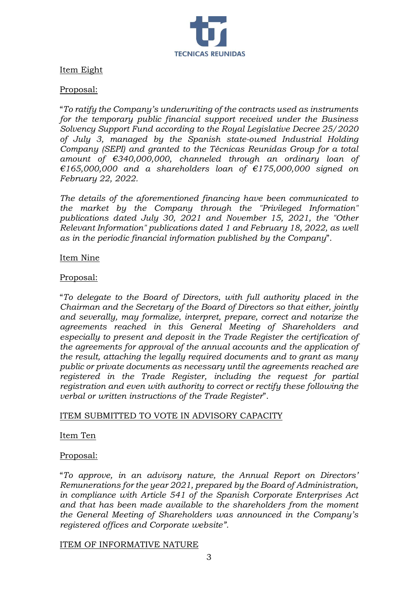

# Item Eight

### Proposal:

"*To ratify the Company's underwriting of the contracts used as instruments for the temporary public financial support received under the Business Solvency Support Fund according to the Royal Legislative Decree 25/2020 of July 3, managed by the Spanish state-owned Industrial Holding Company (SEPI) and granted to the Técnicas Reunidas Group for a total amount of €340,000,000, channeled through an ordinary loan of €165,000,000 and a shareholders loan of €175,000,000 signed on February 22, 2022.*

*The details of the aforementioned financing have been communicated to the market by the Company through the "Privileged Information" publications dated July 30, 2021 and November 15, 2021, the "Other Relevant Information" publications dated 1 and February 18, 2022, as well as in the periodic financial information published by the Company*".

### Item Nine

### Proposal:

"*To delegate to the Board of Directors, with full authority placed in the Chairman and the Secretary of the Board of Directors so that either, jointly and severally, may formalize, interpret, prepare, correct and notarize the agreements reached in this General Meeting of Shareholders and especially to present and deposit in the Trade Register the certification of the agreements for approval of the annual accounts and the application of the result, attaching the legally required documents and to grant as many public or private documents as necessary until the agreements reached are registered in the Trade Register, including the request for partial registration and even with authority to correct or rectify these following the verbal or written instructions of the Trade Register*".

### ITEM SUBMITTED TO VOTE IN ADVISORY CAPACITY

#### Item Ten

#### Proposal:

"*To approve, in an advisory nature, the Annual Report on Directors' Remunerations for the year 2021, prepared by the Board of Administration, in compliance with Article 541 of the Spanish Corporate Enterprises Act and that has been made available to the shareholders from the moment the General Meeting of Shareholders was announced in the Company's registered offices and Corporate website".*

#### ITEM OF INFORMATIVE NATURE